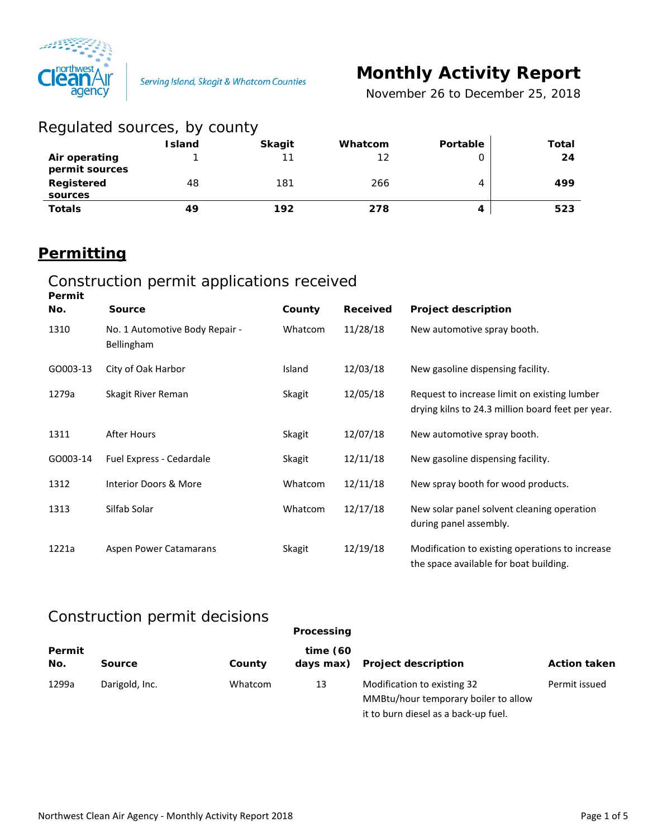

# **Monthly Activity Report**

*November 26 to December 25, 2018*

| Regulated sources, by county    |               |               |         |          |       |
|---------------------------------|---------------|---------------|---------|----------|-------|
|                                 | <b>Island</b> | <b>Skagit</b> | Whatcom | Portable | Total |
| Air operating<br>permit sources |               | 11            | 12      | O        | 24    |
| Registered<br>sources           | 48            | 181           | 266     | 4        | 499   |
| <b>Totals</b>                   | 49            | 192           | 278     | 4        | 523   |

### **Permitting**

#### Construction permit applications received **Permit**

| No.      | <b>Source</b>                                       | County  | <b>Received</b> | <b>Project description</b>                                                                        |
|----------|-----------------------------------------------------|---------|-----------------|---------------------------------------------------------------------------------------------------|
| 1310     | No. 1 Automotive Body Repair -<br><b>Bellingham</b> | Whatcom | 11/28/18        | New automotive spray booth.                                                                       |
| GO003-13 | City of Oak Harbor                                  | Island  | 12/03/18        | New gasoline dispensing facility.                                                                 |
| 1279a    | Skagit River Reman                                  | Skagit  | 12/05/18        | Request to increase limit on existing lumber<br>drying kilns to 24.3 million board feet per year. |
| 1311     | After Hours                                         | Skagit  | 12/07/18        | New automotive spray booth.                                                                       |
| GO003-14 | Fuel Express - Cedardale                            | Skagit  | 12/11/18        | New gasoline dispensing facility.                                                                 |
| 1312     | Interior Doors & More                               | Whatcom | 12/11/18        | New spray booth for wood products.                                                                |
| 1313     | Silfab Solar                                        | Whatcom | 12/17/18        | New solar panel solvent cleaning operation<br>during panel assembly.                              |
| 1221a    | Aspen Power Catamarans                              | Skagit  | 12/19/18        | Modification to existing operations to increase<br>the space available for boat building.         |

#### Construction permit decisions

|               |                |         | Processing            |                                                                                                             |                     |
|---------------|----------------|---------|-----------------------|-------------------------------------------------------------------------------------------------------------|---------------------|
| Permit<br>No. | <b>Source</b>  | County  | time(60)<br>days max) | <b>Project description</b>                                                                                  | <b>Action taken</b> |
| 1299a         | Darigold, Inc. | Whatcom | 13                    | Modification to existing 32<br>MMBtu/hour temporary boiler to allow<br>it to burn diesel as a back-up fuel. | Permit issued       |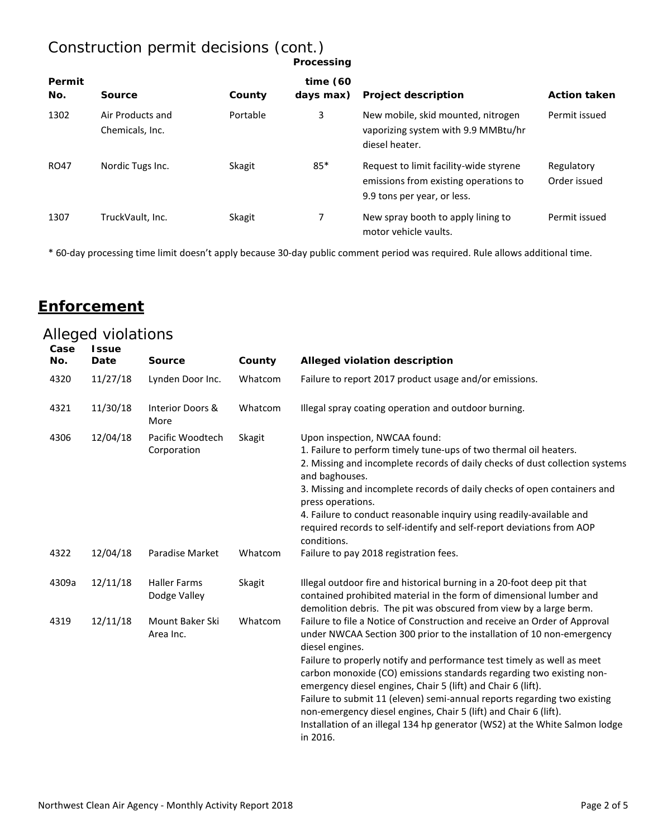## Construction permit decisions (cont.)

| Processing |  |
|------------|--|

| Permit<br>No. | Source                              | County   | time $(60)$<br>days max) | <b>Project description</b>                                                                                     | <b>Action taken</b>        |
|---------------|-------------------------------------|----------|--------------------------|----------------------------------------------------------------------------------------------------------------|----------------------------|
| 1302          | Air Products and<br>Chemicals, Inc. | Portable | 3                        | New mobile, skid mounted, nitrogen<br>vaporizing system with 9.9 MMBtu/hr<br>diesel heater.                    | Permit issued              |
| RO47          | Nordic Tugs Inc.                    | Skagit   | $85*$                    | Request to limit facility-wide styrene<br>emissions from existing operations to<br>9.9 tons per year, or less. | Regulatory<br>Order issued |
| 1307          | TruckVault, Inc.                    | Skagit   | 7                        | New spray booth to apply lining to<br>motor vehicle vaults.                                                    | Permit issued              |

\* 60-day processing time limit doesn't apply because 30-day public comment period was required. Rule allows additional time.

#### **Enforcement**

| Case<br>No. | <b>Issue</b><br>Date | <b>Source</b>                       | County  | Alleged violation description                                                                                                                                                                                                                                                                                                                                                                                                                                                                                                                                                                                                      |
|-------------|----------------------|-------------------------------------|---------|------------------------------------------------------------------------------------------------------------------------------------------------------------------------------------------------------------------------------------------------------------------------------------------------------------------------------------------------------------------------------------------------------------------------------------------------------------------------------------------------------------------------------------------------------------------------------------------------------------------------------------|
| 4320        | 11/27/18             | Lynden Door Inc.                    | Whatcom | Failure to report 2017 product usage and/or emissions.                                                                                                                                                                                                                                                                                                                                                                                                                                                                                                                                                                             |
| 4321        | 11/30/18             | Interior Doors &<br>More            | Whatcom | Illegal spray coating operation and outdoor burning.                                                                                                                                                                                                                                                                                                                                                                                                                                                                                                                                                                               |
| 4306        | 12/04/18             | Pacific Woodtech<br>Corporation     | Skagit  | Upon inspection, NWCAA found:<br>1. Failure to perform timely tune-ups of two thermal oil heaters.<br>2. Missing and incomplete records of daily checks of dust collection systems<br>and baghouses.<br>3. Missing and incomplete records of daily checks of open containers and<br>press operations.<br>4. Failure to conduct reasonable inquiry using readily-available and<br>required records to self-identify and self-report deviations from AOP<br>conditions.                                                                                                                                                              |
| 4322        | 12/04/18             | Paradise Market                     | Whatcom | Failure to pay 2018 registration fees.                                                                                                                                                                                                                                                                                                                                                                                                                                                                                                                                                                                             |
| 4309a       | 12/11/18             | <b>Haller Farms</b><br>Dodge Valley | Skagit  | Illegal outdoor fire and historical burning in a 20-foot deep pit that<br>contained prohibited material in the form of dimensional lumber and<br>demolition debris. The pit was obscured from view by a large berm.                                                                                                                                                                                                                                                                                                                                                                                                                |
| 4319        | 12/11/18             | Mount Baker Ski<br>Area Inc.        | Whatcom | Failure to file a Notice of Construction and receive an Order of Approval<br>under NWCAA Section 300 prior to the installation of 10 non-emergency<br>diesel engines.<br>Failure to properly notify and performance test timely as well as meet<br>carbon monoxide (CO) emissions standards regarding two existing non-<br>emergency diesel engines, Chair 5 (lift) and Chair 6 (lift).<br>Failure to submit 11 (eleven) semi-annual reports regarding two existing<br>non-emergency diesel engines, Chair 5 (lift) and Chair 6 (lift).<br>Installation of an illegal 134 hp generator (WS2) at the White Salmon lodge<br>in 2016. |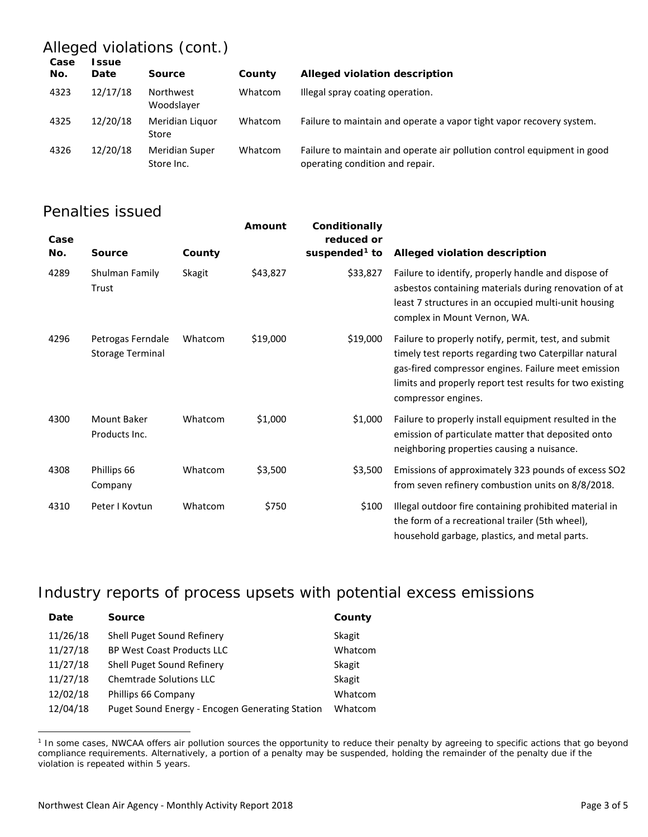## Alleged violations (cont.)

| Date     | <b>Source</b>                       | County  | Alleged violation description                                                                              |
|----------|-------------------------------------|---------|------------------------------------------------------------------------------------------------------------|
| 12/17/18 | Northwest<br>Woodslaver             | Whatcom | Illegal spray coating operation.                                                                           |
| 12/20/18 | Meridian Liguor<br>Store            | Whatcom | Failure to maintain and operate a vapor tight vapor recovery system.                                       |
| 12/20/18 | <b>Meridian Super</b><br>Store Inc. | Whatcom | Failure to maintain and operate air pollution control equipment in good<br>operating condition and repair. |
|          |                                     |         | ssue                                                                                                       |

#### Penalties issued

| Case<br>No. | Source                                       | County  | Amount   | Conditionally<br>reduced or<br>suspended <sup>1</sup> to | Alleged violation description                                                                                                                                                                                                                           |
|-------------|----------------------------------------------|---------|----------|----------------------------------------------------------|---------------------------------------------------------------------------------------------------------------------------------------------------------------------------------------------------------------------------------------------------------|
| 4289        | Shulman Family<br>Trust                      | Skagit  | \$43,827 | \$33,827                                                 | Failure to identify, properly handle and dispose of<br>asbestos containing materials during renovation of at<br>least 7 structures in an occupied multi-unit housing<br>complex in Mount Vernon, WA.                                                    |
| 4296        | Petrogas Ferndale<br><b>Storage Terminal</b> | Whatcom | \$19,000 | \$19,000                                                 | Failure to properly notify, permit, test, and submit<br>timely test reports regarding two Caterpillar natural<br>gas-fired compressor engines. Failure meet emission<br>limits and properly report test results for two existing<br>compressor engines. |
| 4300        | Mount Baker<br>Products Inc.                 | Whatcom | \$1,000  | \$1,000                                                  | Failure to properly install equipment resulted in the<br>emission of particulate matter that deposited onto<br>neighboring properties causing a nuisance.                                                                                               |
| 4308        | Phillips 66<br>Company                       | Whatcom | \$3,500  | \$3,500                                                  | Emissions of approximately 323 pounds of excess SO2<br>from seven refinery combustion units on 8/8/2018.                                                                                                                                                |
| 4310        | Peter I Kovtun                               | Whatcom | \$750    | \$100                                                    | Illegal outdoor fire containing prohibited material in<br>the form of a recreational trailer (5th wheel),<br>household garbage, plastics, and metal parts.                                                                                              |

#### Industry reports of process upsets with potential excess emissions

| Date     | <b>Source</b>                                   | County  |
|----------|-------------------------------------------------|---------|
| 11/26/18 | Shell Puget Sound Refinery                      | Skagit  |
| 11/27/18 | <b>BP West Coast Products LLC</b>               | Whatcom |
| 11/27/18 | Shell Puget Sound Refinery                      | Skagit  |
| 11/27/18 | <b>Chemtrade Solutions LLC</b>                  | Skagit  |
| 12/02/18 | Phillips 66 Company                             | Whatcom |
| 12/04/18 | Puget Sound Energy - Encogen Generating Station | Whatcom |

<span id="page-2-0"></span><sup>&</sup>lt;sup>1</sup> In some cases, NWCAA offers air pollution sources the opportunity to reduce their penalty by agreeing to specific actions that go beyond compliance requirements. Alternatively, a portion of a penalty may be suspended, holding the remainder of the penalty due if the violation is repeated within 5 years.

 $\overline{a}$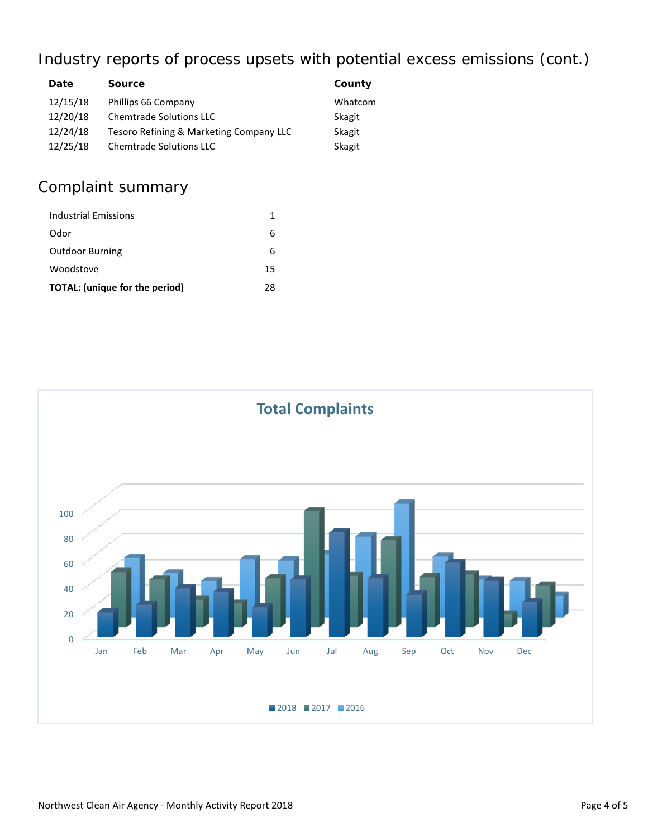## Industry reports of process upsets with potential excess emissions (cont.)

| Date     | <b>Source</b>                           | County  |
|----------|-----------------------------------------|---------|
| 12/15/18 | Phillips 66 Company                     | Whatcom |
| 12/20/18 | <b>Chemtrade Solutions LLC</b>          | Skagit  |
| 12/24/18 | Tesoro Refining & Marketing Company LLC | Skagit  |
| 12/25/18 | <b>Chemtrade Solutions LLC</b>          | Skagit  |

## Complaint summary

| <b>Industrial Emissions</b>    | 1  |
|--------------------------------|----|
| Odor                           | 6  |
| <b>Outdoor Burning</b>         | 6  |
| Woodstove                      | 15 |
| TOTAL: (unique for the period) | 28 |